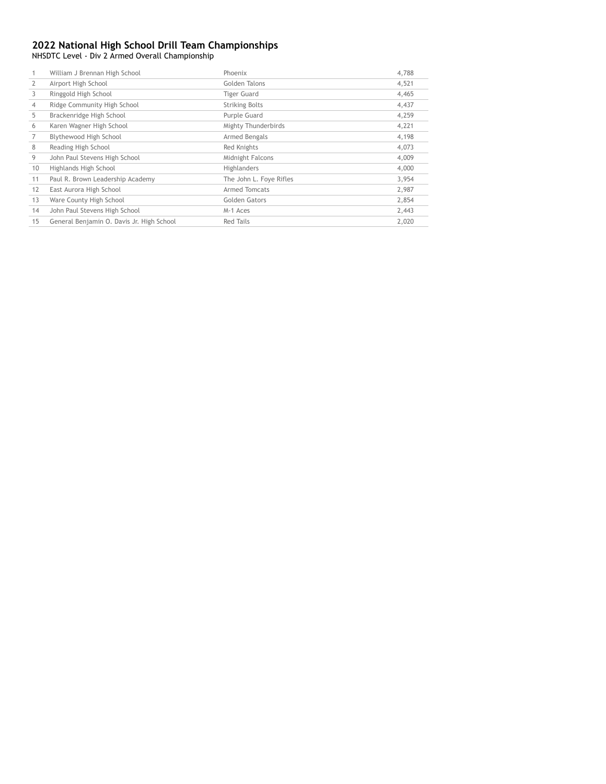NHSDTC Level - Div 2 Armed Overall Championship

|    | William J Brennan High School             | Phoenix                 | 4,788 |
|----|-------------------------------------------|-------------------------|-------|
| 2  | Airport High School                       | Golden Talons           | 4,521 |
| 3  | Ringgold High School                      | Tiger Guard             | 4,465 |
| 4  | Ridge Community High School               | <b>Striking Bolts</b>   | 4,437 |
| 5  | Brackenridge High School                  | Purple Guard            | 4,259 |
| 6  | Karen Wagner High School                  | Mighty Thunderbirds     | 4,221 |
|    | Blythewood High School                    | Armed Bengals           | 4,198 |
| 8  | Reading High School                       | Red Knights             | 4,073 |
| 9  | John Paul Stevens High School             | Midnight Falcons        | 4,009 |
| 10 | Highlands High School                     | <b>Highlanders</b>      | 4,000 |
| 11 | Paul R. Brown Leadership Academy          | The John L. Foye Rifles | 3,954 |
| 12 | East Aurora High School                   | Armed Tomcats           | 2,987 |
| 13 | Ware County High School                   | Golden Gators           | 2,854 |
| 14 | John Paul Stevens High School             | M-1 Aces                | 2,443 |
| 15 | General Benjamin O. Davis Jr. High School | <b>Red Tails</b>        | 2,020 |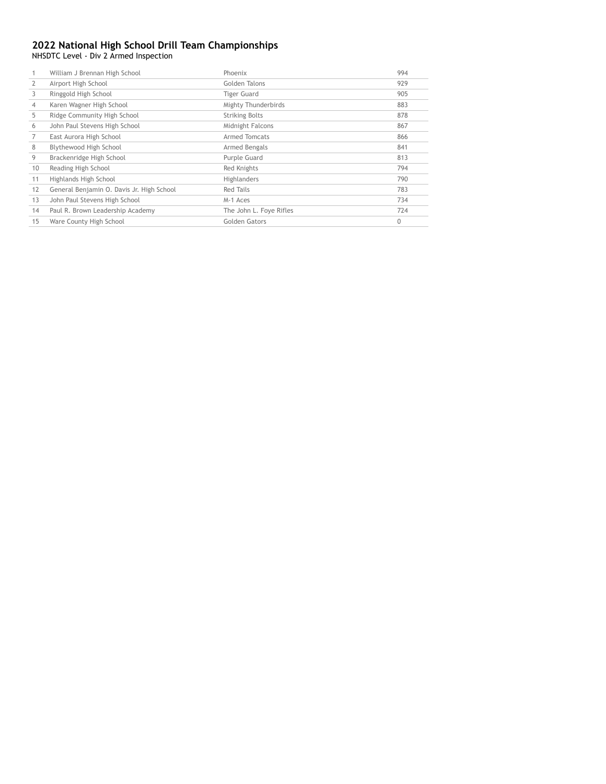NHSDTC Level - Div 2 Armed Inspection

|    | Airport High School                       |                         |             |
|----|-------------------------------------------|-------------------------|-------------|
|    |                                           | Golden Talons           | 929         |
| 3  | Ringgold High School                      | <b>Tiger Guard</b>      | 905         |
| 4  | Karen Wagner High School                  | Mighty Thunderbirds     | 883         |
| 5  | Ridge Community High School               | <b>Striking Bolts</b>   | 878         |
| 6  | John Paul Stevens High School             | Midnight Falcons        | 867         |
|    | East Aurora High School                   | Armed Tomcats           | 866         |
| 8  | Blythewood High School                    | Armed Bengals           | 841         |
| 9  | Brackenridge High School                  | Purple Guard            | 813         |
| 10 | Reading High School                       | Red Knights             | 794         |
| 11 | Highlands High School                     | Highlanders             | 790         |
| 12 | General Benjamin O. Davis Jr. High School | Red Tails               | 783         |
| 13 | John Paul Stevens High School             | M-1 Aces                | 734         |
| 14 | Paul R. Brown Leadership Academy          | The John L. Foye Rifles | 724         |
| 15 | Ware County High School                   | Golden Gators           | $\mathbf 0$ |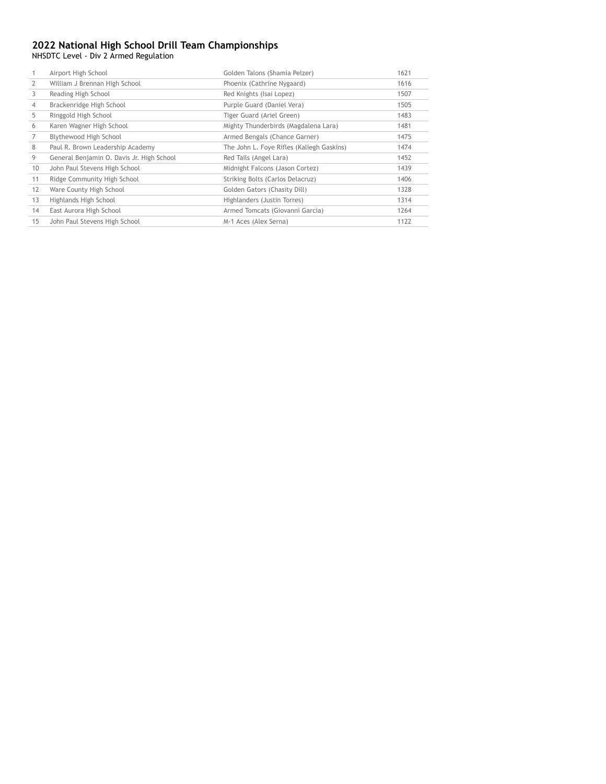NHSDTC Level - Div 2 Armed Regulation

|    | Airport High School                       | Golden Talons (Shamia Pelzer)             | 1621 |
|----|-------------------------------------------|-------------------------------------------|------|
| 2  | William J Brennan High School             | Phoenix (Cathrine Nygaard)                | 1616 |
| 3  | Reading High School                       | Red Knights (Isai Lopez)                  | 1507 |
| 4  | Brackenridge High School                  | Purple Guard (Daniel Vera)                | 1505 |
| 5  | Ringgold High School                      | Tiger Guard (Ariel Green)                 | 1483 |
| 6  | Karen Wagner High School                  | Mighty Thunderbirds (Magdalena Lara)      | 1481 |
|    | Blythewood High School                    | Armed Bengals (Chance Garner)             | 1475 |
| 8  | Paul R. Brown Leadership Academy          | The John L. Foye Rifles (Kaliegh Gaskins) | 1474 |
| 9  | General Benjamin O. Davis Jr. High School | Red Tails (Angel Lara)                    | 1452 |
| 10 | John Paul Stevens High School             | Midnight Falcons (Jason Cortez)           | 1439 |
| 11 | Ridge Community High School               | Striking Bolts (Carlos Delacruz)          | 1406 |
| 12 | Ware County High School                   | Golden Gators (Chasity Dill)              | 1328 |
| 13 | Highlands High School                     | Highlanders (Justin Torres)               | 1314 |
| 14 | East Aurora High School                   | Armed Tomcats (Giovanni Garcia)           | 1264 |
| 15 | John Paul Stevens High School             | M-1 Aces (Alex Serna)                     | 1122 |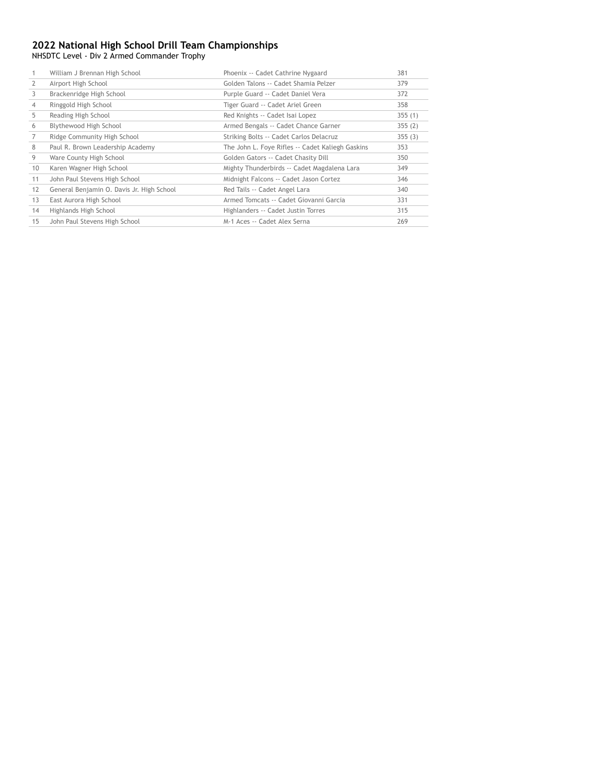NHSDTC Level - Div 2 Armed Commander Trophy

|    | William J Brennan High School             | Phoenix -- Cadet Cathrine Nygaard                | 381    |
|----|-------------------------------------------|--------------------------------------------------|--------|
| 2  | Airport High School                       | Golden Talons -- Cadet Shamia Pelzer             | 379    |
| 3  | Brackenridge High School                  | Purple Guard -- Cadet Daniel Vera                | 372    |
| 4  | Ringgold High School                      | Tiger Guard -- Cadet Ariel Green                 | 358    |
| 5  | Reading High School                       | Red Knights -- Cadet Isai Lopez                  | 355(1) |
| 6  | Blythewood High School                    | Armed Bengals -- Cadet Chance Garner             | 355(2) |
|    | Ridge Community High School               | Striking Bolts -- Cadet Carlos Delacruz          | 355(3) |
| 8  | Paul R. Brown Leadership Academy          | The John L. Foye Rifles -- Cadet Kaliegh Gaskins | 353    |
| 9  | Ware County High School                   | Golden Gators -- Cadet Chasity Dill              | 350    |
| 10 | Karen Wagner High School                  | Mighty Thunderbirds -- Cadet Magdalena Lara      | 349    |
| 11 | John Paul Stevens High School             | Midnight Falcons -- Cadet Jason Cortez           | 346    |
| 12 | General Benjamin O. Davis Jr. High School | Red Tails -- Cadet Angel Lara                    | 340    |
| 13 | East Aurora High School                   | Armed Tomcats -- Cadet Giovanni Garcia           | 331    |
| 14 | Highlands High School                     | Highlanders -- Cadet Justin Torres               | 315    |
| 15 | John Paul Stevens High School             | M-1 Aces -- Cadet Alex Serna                     | 269    |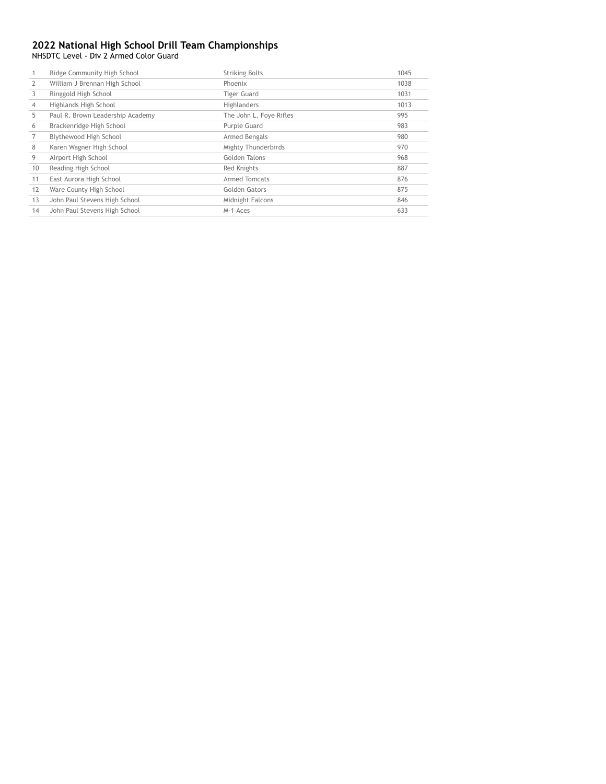NHSDTC Level - Div 2 Armed Color Guard

|    | Ridge Community High School      | <b>Striking Bolts</b>   | 1045 |
|----|----------------------------------|-------------------------|------|
|    | William J Brennan High School    | Phoenix                 | 1038 |
| 3  | Ringgold High School             | <b>Tiger Guard</b>      | 1031 |
| 4  | Highlands High School            | Highlanders             | 1013 |
| 5  | Paul R. Brown Leadership Academy | The John L. Foye Rifles | 995  |
| 6  | Brackenridge High School         | Purple Guard            | 983  |
|    | Blythewood High School           | Armed Bengals           | 980  |
| 8  | Karen Wagner High School         | Mighty Thunderbirds     | 970  |
| 9  | Airport High School              | Golden Talons           | 968  |
| 10 | Reading High School              | Red Knights             | 887  |
| 11 | East Aurora High School          | Armed Tomcats           | 876  |
| 12 | Ware County High School          | Golden Gators           | 875  |
| 13 | John Paul Stevens High School    | Midnight Falcons        | 846  |
| 14 | John Paul Stevens High School    | M-1 Aces                | 633  |
|    |                                  |                         |      |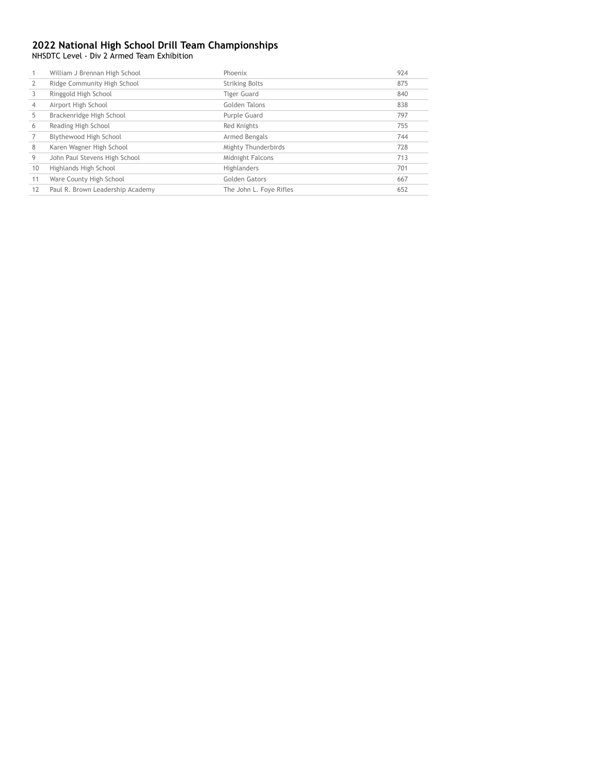NHSDTC Level - Div 2 Armed Team Exhibition

|    | William J Brennan High School    | Phoenix                 | 924 |
|----|----------------------------------|-------------------------|-----|
|    | Ridge Community High School      | <b>Striking Bolts</b>   | 875 |
|    | Ringgold High School             | <b>Tiger Guard</b>      | 840 |
| 4  | Airport High School              | Golden Talons           | 838 |
| 5  | Brackenridge High School         | Purple Guard            | 797 |
| 6  | Reading High School              | Red Knights             | 755 |
|    | Blythewood High School           | Armed Bengals           | 744 |
| 8  | Karen Wagner High School         | Mighty Thunderbirds     | 728 |
| 9  | John Paul Stevens High School    | Midnight Falcons        | 713 |
| 10 | Highlands High School            | Highlanders             | 701 |
| 11 | Ware County High School          | Golden Gators           | 667 |
| 12 | Paul R. Brown Leadership Academy | The John L. Foye Rifles | 652 |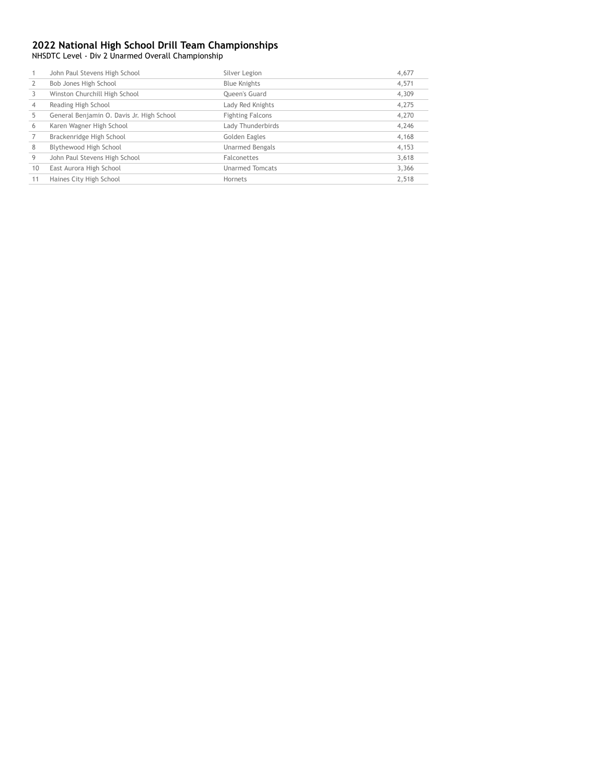NHSDTC Level - Div 2 Unarmed Overall Championship

|                | John Paul Stevens High School             | Silver Legion           | 4,677 |
|----------------|-------------------------------------------|-------------------------|-------|
|                | Bob Jones High School                     | <b>Blue Knights</b>     | 4,571 |
|                | Winston Churchill High School             | <b>Oueen's Guard</b>    | 4,309 |
| $\overline{4}$ | Reading High School                       | Lady Red Knights        | 4,275 |
| 5              | General Benjamin O. Davis Jr. High School | <b>Fighting Falcons</b> | 4,270 |
| 6              | Karen Wagner High School                  | Lady Thunderbirds       | 4,246 |
|                | Brackenridge High School                  | Golden Eagles           | 4,168 |
| 8              | Blythewood High School                    | <b>Unarmed Bengals</b>  | 4,153 |
| 9              | John Paul Stevens High School             | <b>Falconettes</b>      | 3,618 |
| 10             | East Aurora High School                   | <b>Unarmed Tomcats</b>  | 3,366 |
| 11             | Haines City High School                   | Hornets                 | 2.518 |
|                |                                           |                         |       |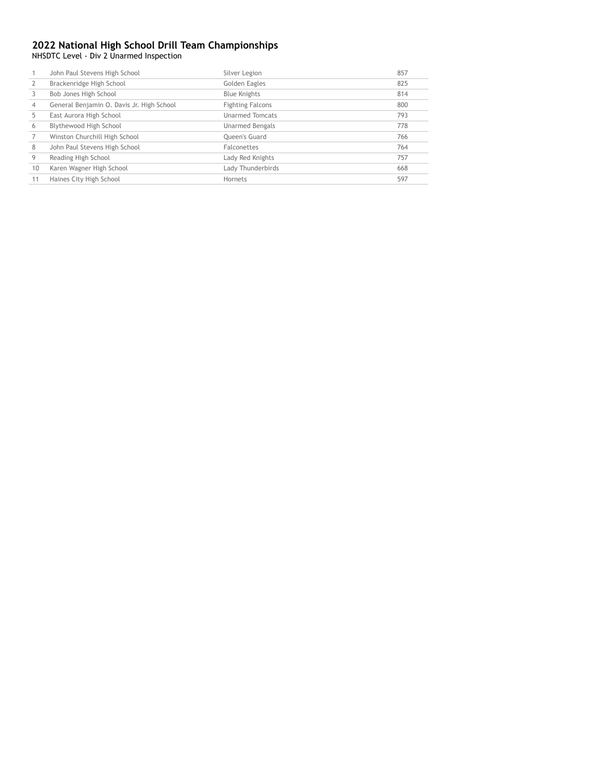NHSDTC Level - Div 2 Unarmed Inspection

|                | John Paul Stevens High School             | Silver Legion           | 857 |
|----------------|-------------------------------------------|-------------------------|-----|
|                | Brackenridge High School                  | Golden Eagles           | 825 |
|                | Bob Jones High School                     | <b>Blue Knights</b>     | 814 |
| $\overline{4}$ | General Benjamin O. Davis Jr. High School | <b>Fighting Falcons</b> | 800 |
|                | East Aurora High School                   | <b>Unarmed Tomcats</b>  | 793 |
| 6              | Blythewood High School                    | Unarmed Bengals         | 778 |
|                | Winston Churchill High School             | <b>Oueen's Guard</b>    | 766 |
| 8              | John Paul Stevens High School             | Falconettes             | 764 |
| 9              | Reading High School                       | Lady Red Knights        | 757 |
| 10             | Karen Wagner High School                  | Lady Thunderbirds       | 668 |
|                | Haines City High School                   | Hornets                 | 597 |
|                |                                           |                         |     |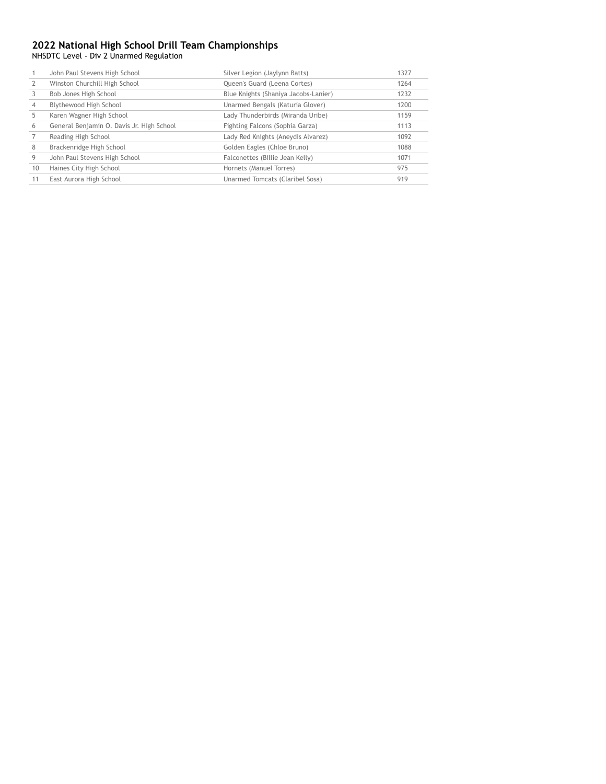NHSDTC Level - Div 2 Unarmed Regulation

|    | John Paul Stevens High School             | Silver Legion (Jaylynn Batts)        | 1327 |
|----|-------------------------------------------|--------------------------------------|------|
|    | Winston Churchill High School             | Queen's Guard (Leena Cortes)         | 1264 |
|    | Bob Jones High School                     | Blue Knights (Shaniya Jacobs-Lanier) | 1232 |
|    | Blythewood High School                    | Unarmed Bengals (Katuria Glover)     | 1200 |
|    | Karen Wagner High School                  | Lady Thunderbirds (Miranda Uribe)    | 1159 |
| 6  | General Benjamin O. Davis Jr. High School | Fighting Falcons (Sophia Garza)      | 1113 |
|    | Reading High School                       | Lady Red Knights (Aneydis Alvarez)   | 1092 |
| 8  | Brackenridge High School                  | Golden Eagles (Chloe Bruno)          | 1088 |
| 9  | John Paul Stevens High School             | Falconettes (Billie Jean Kelly)      | 1071 |
| 10 | Haines City High School                   | Hornets (Manuel Torres)              | 975  |
| 11 | East Aurora High School                   | Unarmed Tomcats (Claribel Sosa)      | 919  |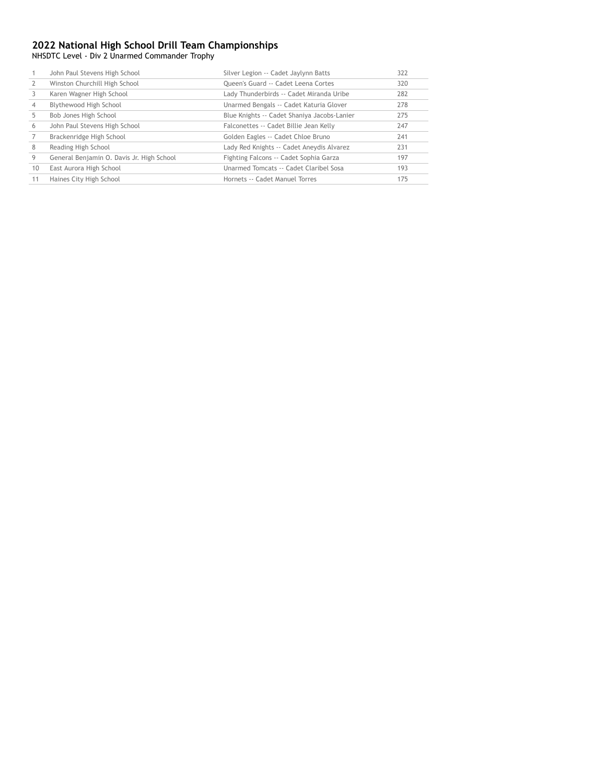NHSDTC Level - Div 2 Unarmed Commander Trophy

|    | John Paul Stevens High School             | Silver Legion -- Cadet Jaylynn Batts        | 322 |
|----|-------------------------------------------|---------------------------------------------|-----|
|    | Winston Churchill High School             | Queen's Guard -- Cadet Leena Cortes         | 320 |
|    | Karen Wagner High School                  | Lady Thunderbirds -- Cadet Miranda Uribe    | 282 |
|    | Blythewood High School                    | Unarmed Bengals -- Cadet Katuria Glover     | 278 |
| 5  | Bob Jones High School                     | Blue Knights -- Cadet Shaniya Jacobs-Lanier | 275 |
| 6  | John Paul Stevens High School             | Falconettes -- Cadet Billie Jean Kelly      | 247 |
|    | Brackenridge High School                  | Golden Eagles -- Cadet Chloe Bruno          | 241 |
| 8  | Reading High School                       | Lady Red Knights -- Cadet Aneydis Alvarez   | 231 |
| 9  | General Benjamin O. Davis Jr. High School | Fighting Falcons -- Cadet Sophia Garza      | 197 |
| 10 | East Aurora High School                   | Unarmed Tomcats -- Cadet Claribel Sosa      | 193 |
|    | Haines City High School                   | Hornets -- Cadet Manuel Torres              | 175 |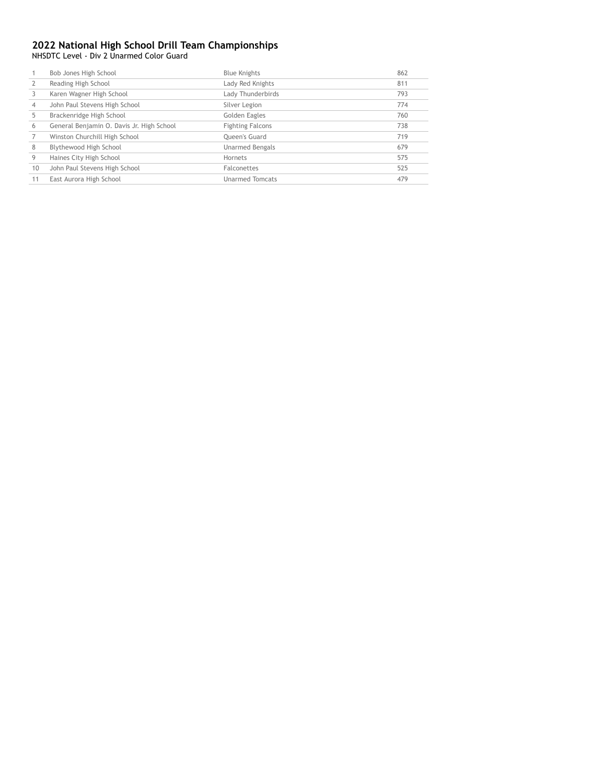NHSDTC Level - Div 2 Unarmed Color Guard

|    | Bob Jones High School                     | <b>Blue Knights</b>     | 862 |
|----|-------------------------------------------|-------------------------|-----|
|    | Reading High School                       | Lady Red Knights        | 811 |
|    | Karen Wagner High School                  | Lady Thunderbirds       | 793 |
| 4  | John Paul Stevens High School             | Silver Legion           | 774 |
|    | Brackenridge High School                  | Golden Eagles           | 760 |
| 6  | General Benjamin O. Davis Jr. High School | <b>Fighting Falcons</b> | 738 |
|    | Winston Churchill High School             | <b>Oueen's Guard</b>    | 719 |
| 8  | Blythewood High School                    | <b>Unarmed Bengals</b>  | 679 |
| 9  | Haines City High School                   | Hornets                 | 575 |
| 10 | John Paul Stevens High School             | Falconettes             | 525 |
|    | East Aurora High School                   | <b>Unarmed Tomcats</b>  | 479 |